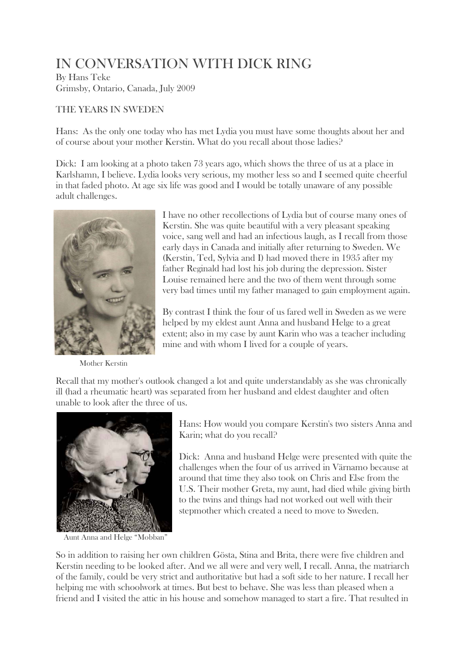# IN CONVERSATION WITH DICK RING

By Hans Teke Grimsby, Ontario, Canada, July 2009

## THE YEARS IN SWEDEN

Hans: As the only one today who has met Lydia you must have some thoughts about her and of course about your mother Kerstin. What do you recall about those ladies?

Dick: I am looking at a photo taken 73 years ago, which shows the three of us at a place in Karlshamn, I believe. Lydia looks very serious, my mother less so and I seemed quite cheerful in that faded photo. At age six life was good and I would be totally unaware of any possible adult challenges.



Mother Kerstin

I have no other recollections of Lydia but of course many ones of Kerstin. She was quite beautiful with a very pleasant speaking voice, sang well and had an infectious laugh, as I recall from those early days in Canada and initially after returning to Sweden. We (Kerstin, Ted, Sylvia and I) had moved there in 1935 after my father Reginald had lost his job during the depression. Sister Louise remained here and the two of them went through some very bad times until my father managed to gain employment again.

By contrast I think the four of us fared well in Sweden as we were helped by my eldest aunt Anna and husband Helge to a great extent; also in my case by aunt Karin who was a teacher including mine and with whom I lived for a couple of years.

Recall that my mother's outlook changed a lot and quite understandably as she was chronically ill (had a rheumatic heart) was separated from her husband and eldest daughter and often unable to look after the three of us.



Aunt Anna and Helge "Mobban"

Hans: How would you compare Kerstin's two sisters Anna and Karin; what do you recall?

Dick: Anna and husband Helge were presented with quite the challenges when the four of us arrived in Värnamo because at around that time they also took on Chris and Else from the U.S. Their mother Greta, my aunt, had died while giving birth to the twins and things had not worked out well with their stepmother which created a need to move to Sweden.

So in addition to raising her own children Gösta, Stina and Brita, there were five children and Kerstin needing to be looked after. And we all were and very well, I recall. Anna, the matriarch of the family, could be very strict and authoritative but had a soft side to her nature. I recall her helping me with schoolwork at times. But best to behave. She was less than pleased when a friend and I visited the attic in his house and somehow managed to start a fire. That resulted in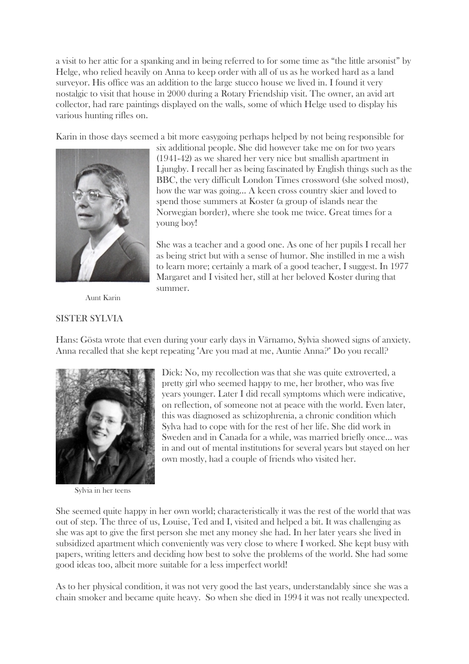a visit to her attic for a spanking and in being referred to for some time as "the little arsonist" by Helge, who relied heavily on Anna to keep order with all of us as he worked hard as a land surveyor. His office was an addition to the large stucco house we lived in. I found it very nostalgic to visit that house in 2000 during a Rotary Friendship visit. The owner, an avid art collector, had rare paintings displayed on the walls, some of which Helge used to display his various hunting rifles on.

Karin in those days seemed a bit more easygoing perhaps helped by not being responsible for



six additional people. She did however take me on for two years (1941-42) as we shared her very nice but smallish apartment in Ljungby. I recall her as being fascinated by English things such as the BBC, the very difficult London Times crossword (she solved most), how the war was going… A keen cross country skier and loved to spend those summers at Koster (a group of islands near the Norwegian border), where she took me twice. Great times for a young boy!

She was a teacher and a good one. As one of her pupils I recall her as being strict but with a sense of humor. She instilled in me a wish to learn more; certainly a mark of a good teacher, I suggest. In 1977 Margaret and I visited her, still at her beloved Koster during that summer.

Aunt Karin

#### SISTER SYLVIA

Hans: Gösta wrote that even during your early days in Värnamo, Sylvia showed signs of anxiety. Anna recalled that she kept repeating "Are you mad at me, Auntie Anna?" Do you recall?



Sylvia in her teens

Dick: No, my recollection was that she was quite extroverted, a pretty girl who seemed happy to me, her brother, who was five years younger. Later I did recall symptoms which were indicative, on reflection, of someone not at peace with the world. Even later, this was diagnosed as schizophrenia, a chronic condition which Sylva had to cope with for the rest of her life. She did work in Sweden and in Canada for a while, was married briefly once… was in and out of mental institutions for several years but stayed on her own mostly, had a couple of friends who visited her.

She seemed quite happy in her own world; characteristically it was the rest of the world that was out of step. The three of us, Louise, Ted and I, visited and helped a bit. It was challenging as she was apt to give the first person she met any money she had. In her later years she lived in subsidized apartment which conveniently was very close to where I worked. She kept busy with papers, writing letters and deciding how best to solve the problems of the world. She had some good ideas too, albeit more suitable for a less imperfect world!

As to her physical condition, it was not very good the last years, understandably since she was a chain smoker and became quite heavy. So when she died in 1994 it was not really unexpected.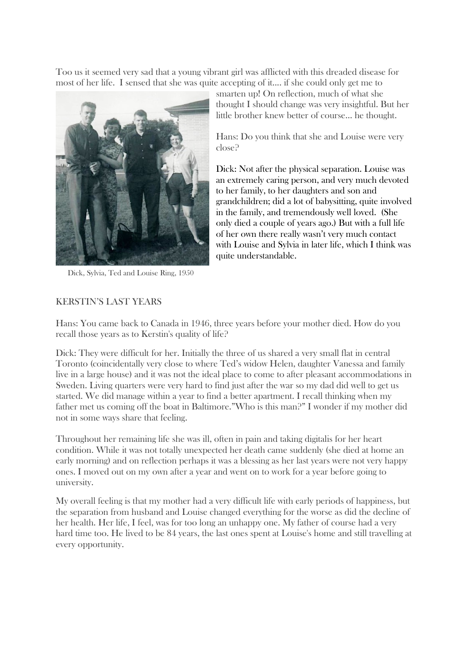Too us it seemed very sad that a young vibrant girl was afflicted with this dreaded disease for most of her life. I sensed that she was quite accepting of it.... if she could only get me to



Dick, Sylvia, Ted and Louise Ring, 1950

smarten up! On reflection, much of what she thought I should change was very insightful. But her little brother knew better of course… he thought.

Hans: Do you think that she and Louise were very close?

Dick: Not after the physical separation. Louise was an extremely caring person, and very much devoted to her family, to her daughters and son and grandchildren; did a lot of babysitting, quite involved in the family, and tremendously well loved. (She only died a couple of years ago.) But with a full life of her own there really wasn't very much contact with Louise and Sylvia in later life, which I think was quite understandable.

# KERSTIN'S LAST YEARS

Hans: You came back to Canada in 1946, three years before your mother died. How do you recall those years as to Kerstin's quality of life?

Dick: They were difficult for her. Initially the three of us shared a very small flat in central Toronto (coincidentally very close to where Ted's widow Helen, daughter Vanessa and family live in a large house) and it was not the ideal place to come to after pleasant accommodations in Sweden. Living quarters were very hard to find just after the war so my dad did well to get us started. We did manage within a year to find a better apartment. I recall thinking when my father met us coming off the boat in Baltimore."Who is this man?" I wonder if my mother did not in some ways share that feeling.

Throughout her remaining life she was ill, often in pain and taking digitalis for her heart condition. While it was not totally unexpected her death came suddenly (she died at home an early morning) and on reflection perhaps it was a blessing as her last years were not very happy ones. I moved out on my own after a year and went on to work for a year before going to university.

My overall feeling is that my mother had a very difficult life with early periods of happiness, but the separation from husband and Louise changed everything for the worse as did the decline of her health. Her life, I feel, was for too long an unhappy one. My father of course had a very hard time too. He lived to be 84 years, the last ones spent at Louise's home and still travelling at every opportunity.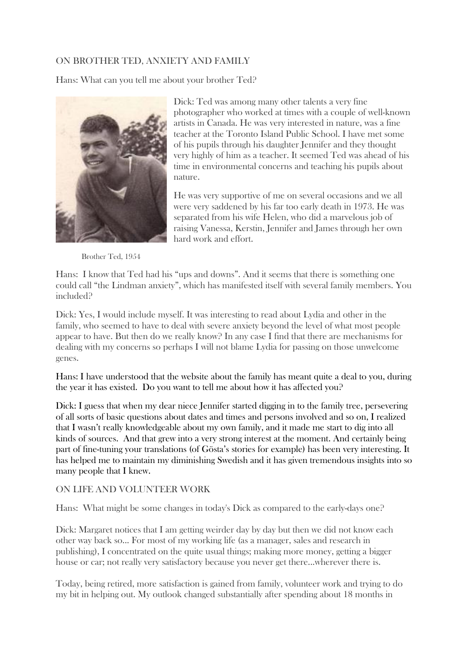## ON BROTHER TED, ANXIETY AND FAMILY

Hans: What can you tell me about your brother Ted?



Dick: Ted was among many other talents a very fine photographer who worked at times with a couple of well-known artists in Canada. He was very interested in nature, was a fine teacher at the Toronto Island Public School. I have met some of his pupils through his daughter Jennifer and they thought very highly of him as a teacher. It seemed Ted was ahead of his time in environmental concerns and teaching his pupils about nature.

He was very supportive of me on several occasions and we all were very saddened by his far too early death in 1973. He was separated from his wife Helen, who did a marvelous job of raising Vanessa, Kerstin, Jennifer and James through her own hard work and effort.

Brother Ted, 1954

Hans: I know that Ted had his "ups and downs". And it seems that there is something one could call "the Lindman anxiety", which has manifested itself with several family members. You included?

Dick: Yes, I would include myself. It was interesting to read about Lydia and other in the family, who seemed to have to deal with severe anxiety beyond the level of what most people appear to have. But then do we really know? In any case I find that there are mechanisms for dealing with my concerns so perhaps I will not blame Lydia for passing on those unwelcome genes.

Hans: I have understood that the website about the family has meant quite a deal to you, during the year it has existed. Do you want to tell me about how it has affected you?

Dick: I guess that when my dear niece Jennifer started digging in to the family tree, persevering of all sorts of basic questions about dates and times and persons involved and so on, I realized that I wasn't really knowledgeable about my own family, and it made me start to dig into all kinds of sources. And that grew into a very strong interest at the moment. And certainly being part of fine-tuning your translations (of Gösta's stories for example) has been very interesting. It has helped me to maintain my diminishing Swedish and it has given tremendous insights into so many people that I knew.

## ON LIFE AND VOLUNTEER WORK

Hans: What might be some changes in today's Dick as compared to the early-days one?

Dick: Margaret notices that I am getting weirder day by day but then we did not know each other way back so... For most of my working life (as a manager, sales and research in publishing), I concentrated on the quite usual things; making more money, getting a bigger house or car; not really very satisfactory because you never get there...wherever there is.

Today, being retired, more satisfaction is gained from family, volunteer work and trying to do my bit in helping out. My outlook changed substantially after spending about 18 months in